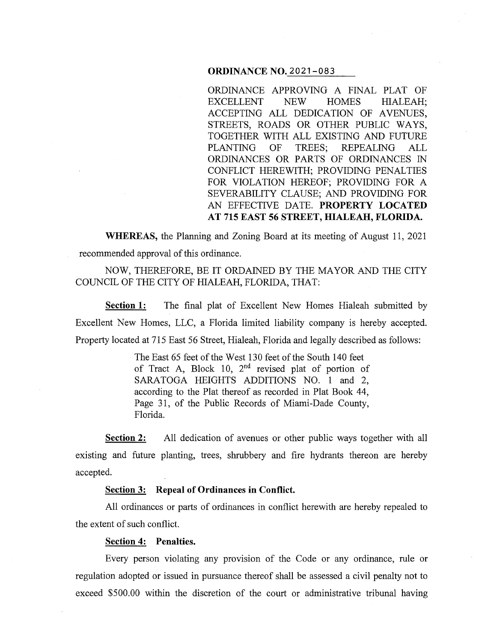## **ORDINANCE NO.** 2021-083

ORDINANCE APPROVING A FINAL PLAT OF EXCELLENT NEW HOMES HIALEAH; ACCEPTING ALL DEDICATION OF AVENUES, STREETS, ROADS OR OTHER PUBLIC WAYS, TOGETHER WITH ALL EXISTING AND FUTURE PLANTING OF TREES; REPEALING ALL ORDINANCES OR PARTS OF ORDINANCES IN CONFLICT HEREWITH; PROVIDING PENALTIES FOR VIOLATION HEREOF; PROVIDING FOR A SEVERABILITY CLAUSE; AND PROVIDING FOR AN EFFECTIVE DATE. **PROPERTY LOCATED AT 715 EAST 56 STREET, HIALEAH, FLORIDA.** 

**WHEREAS,** the Planning and Zoning Board at its meeting of August 11, 2021 recommended approval of this ordinance.

NOW, THEREFORE, BE IT ORDAINED BY THE MAYOR AND THE CITY COUNCIL OF THE CITY OF HIALEAH, FLORIDA, THAT:

Section 1: The final plat of Excellent New Homes Hialeah submitted by Excellent New Homes, LLC, a Florida limited liability company is hereby accepted. Property located at 715 East 56 Street, Hialeah, Florida and legally described as follows:

> The East 65 feet of the West 130 feet of the South 140 feet of Tract A, Block 10,  $2<sup>nd</sup>$  revised plat of portion of SARATOGA HEIGHTS ADDITIONS NO. 1 and 2, according to the Plat thereof as recorded in Plat Book 44, Page 31, of the Public Records of Miami-Dade County, Florida.

**Section 2:** All dedication of avenues or other public ways together with all existing and future planting, trees, shrubbery and fire hydrants thereon are hereby accepted.

### **Section 3: Repeal of Ordinances in Conflict.**

All ordinances or parts of ordinances in conflict herewith are hereby repealed to the extent of such conflict.

#### **Section 4: Penalties.**

Every person violating any provision of the Code or any ordinance, rule or regulation adopted or issued in pursuance thereof shall be assessed a civil penalty not to exceed \$500.00 within the discretion of the court or administrative tribunal having